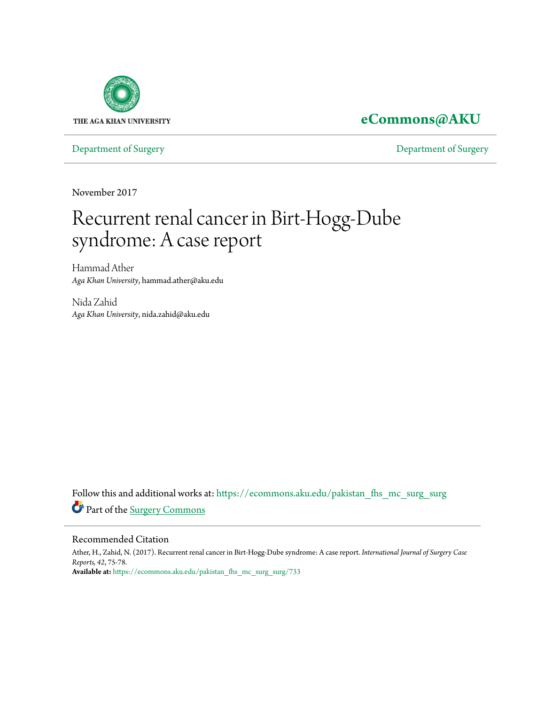

# **[eCommons@AKU](https://ecommons.aku.edu?utm_source=ecommons.aku.edu%2Fpakistan_fhs_mc_surg_surg%2F733&utm_medium=PDF&utm_campaign=PDFCoverPages)**

[Department of Surgery](https://ecommons.aku.edu/pakistan_fhs_mc_surg_surg?utm_source=ecommons.aku.edu%2Fpakistan_fhs_mc_surg_surg%2F733&utm_medium=PDF&utm_campaign=PDFCoverPages) [Department of Surgery](https://ecommons.aku.edu/pakistan_fhs_mc_surg?utm_source=ecommons.aku.edu%2Fpakistan_fhs_mc_surg_surg%2F733&utm_medium=PDF&utm_campaign=PDFCoverPages)

November 2017

# Recurrent renal cancer in Birt-Hogg-Dube syndrome: A case report

Hammad Ather *Aga Khan University*, hammad.ather@aku.edu

Nida Zahid *Aga Khan University*, nida.zahid@aku.edu

Follow this and additional works at: [https://ecommons.aku.edu/pakistan\\_fhs\\_mc\\_surg\\_surg](https://ecommons.aku.edu/pakistan_fhs_mc_surg_surg?utm_source=ecommons.aku.edu%2Fpakistan_fhs_mc_surg_surg%2F733&utm_medium=PDF&utm_campaign=PDFCoverPages) Part of the [Surgery Commons](http://network.bepress.com/hgg/discipline/706?utm_source=ecommons.aku.edu%2Fpakistan_fhs_mc_surg_surg%2F733&utm_medium=PDF&utm_campaign=PDFCoverPages)

### Recommended Citation

Ather, H., Zahid, N. (2017). Recurrent renal cancer in Birt-Hogg-Dube syndrome: A case report. *International Journal of Surgery Case Reports, 42*, 75-78. **Available at:** [https://ecommons.aku.edu/pakistan\\_fhs\\_mc\\_surg\\_surg/733](https://ecommons.aku.edu/pakistan_fhs_mc_surg_surg/733)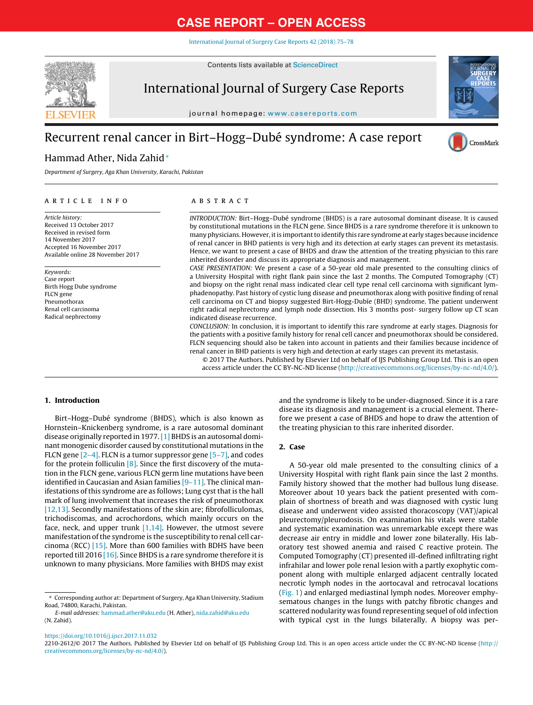[International](https://doi.org/10.1016/j.ijscr.2017.11.032) Journal of Surgery Case Reports 42 (2018) 75–78

Contents lists available at [ScienceDirect](http://www.sciencedirect.com/science/journal/22102612)



International Journal of Surgery Case Reports

journal homepage: [www.casereports.com](http://www.casereports.com)

## Recurrent renal cancer in Birt–Hogg–Dubé syndrome: A case report



# CrossMark

### Hammad Ather, Nida Zahid<sup>∗</sup>

Department of Surgery, Aga Khan University, Karachi, Pakistan

#### a r t i c l e i n f o

Article history: Received 13 October 2017 Received in revised form 14 November 2017 Accepted 16 November 2017 Available online 28 November 2017

Keywords: Case report Birth Hogg Dube syndrome FLCN gene Pneumothorax Renal cell carcinoma Radical nephrectomy

#### A B S T R A C T

INTRODUCTION: Birt–Hogg–Dubé syndrome (BHDS) is a rare autosomal dominant disease. It is caused by constitutional mutations in the FLCN gene. Since BHDS is a rare syndrome therefore it is unknown to many physicians. However, itis importantto identify this rare syndrome at early stages because incidence of renal cancer in BHD patients is very high and its detection at early stages can prevent its metastasis. Hence, we want to present a case of BHDS and draw the attention of the treating physician to this rare inherited disorder and discuss its appropriate diagnosis and management.

CASE PRESENTATION: We present a case of a 50-year old male presented to the consulting clinics of a University Hospital with right flank pain since the last 2 months. The Computed Tomography (CT) and biopsy on the right renal mass indicated clear cell type renal cell carcinoma with significant lymphadenopathy. Past history of cystic lung disease and pneumothorax along with positive finding of renal cell carcinoma on CT and biopsy suggested Birt-Hogg-Dubíe (BHD) syndrome. The patient underwent right radical nephrectomy and lymph node dissection. His 3 months post- surgery follow up CT scan indicated disease recurrence.

CONCLUSION: In conclusion, it is important to identify this rare syndrome at early stages. Diagnosis for the patients with a positive family history for renal cell cancer and pneumothorax should be considered. FLCN sequencing should also be taken into account in patients and their families because incidence of renal cancer in BHD patients is very high and detection at early stages can prevent its metastasis.

© 2017 The Authors. Published by Elsevier Ltd on behalf of IJS Publishing Group Ltd. This is an open access article under the CC BY-NC-ND license [\(http://creativecommons.org/licenses/by-nc-nd/4.0/](http://creativecommons.org/licenses/by-nc-nd/4.0/)).

#### **1. Introduction**

Birt–Hogg–Dubé syndrome (BHDS), which is also known as Hornstein–Knickenberg syndrome, is a rare autosomal dominant disease originally reported in 1977.[\[1\]](#page-3-0) BHDS is an autosomal dominant monogenic disorder caused by constitutional mutations in the FLCN gene  $[2-4]$ . FLCN is a tumor suppressor gene  $[5-7]$ , and codes for the protein folliculin  $[8]$ . Since the first discovery of the mutation in the FLCN gene, various FLCN germ line mutations have been identified in Caucasian and Asian families [\[9–11\].](#page-3-0) The clinical manifestations of this syndrome are as follows; Lung cyst that is the hall mark of lung involvement that increases the risk of pneumothorax [\[12,13\].](#page-4-0) Secondly manifestations of the skin are; fibrofolliculomas, trichodiscomas, and acrochordons, which mainly occurs on the face, neck, and upper trunk [\[1,14\].](#page-3-0) However, the utmost severe manifestation of the syndrome is the susceptibility to renal cell carcinoma (RCC) [\[15\].](#page-4-0) More than 600 families with BDHS have been reported till 2016  $[16]$ . Since BHDS is a rare syndrome therefore it is unknown to many physicians. More families with BHDS may exist

E-mail addresses: [hammad.ather@aku.edu](mailto:hammad.ather@aku.edu) (H. Ather), [nida.zahid@aku.edu](mailto:nida.zahid@aku.edu) (N. Zahid).

and the syndrome is likely to be under-diagnosed. Since it is a rare disease its diagnosis and management is a crucial element. Therefore we present a case of BHDS and hope to draw the attention of the treating physician to this rare inherited disorder.

### **2. Case**

A 50-year old male presented to the consulting clinics of a University Hospital with right flank pain since the last 2 months. Family history showed that the mother had bullous lung disease. Moreover about 10 years back the patient presented with complain of shortness of breath and was diagnosed with cystic lung disease and underwent video assisted thoracoscopy (VAT)/apical pleurectomy/pleurodosis. On examination his vitals were stable and systematic examination was unremarkable except there was decrease air entry in middle and lower zone bilaterally. His laboratory test showed anemia and raised C reactive protein. The Computed Tomography (CT) presented ill-defined infiltrating right infrahilar and lower pole renal lesion with a partly exophytic component along with multiple enlarged adjacent centrally located necrotic lymph nodes in the aortocaval and retrocaval locations [\(Fig.](#page-2-0) 1) and enlarged mediastinal lymph nodes. Moreover emphysematous changes in the lungs with patchy fibrotic changes and scattered nodularity was found representing sequel of old infection with typical cyst in the lungs bilaterally. A biopsy was per-

2210-2612/© 2017 The Authors. Published by Elsevier Ltd on behalf of IJS Publishing Group Ltd. This is an open access article under the CC BY-NC-ND license ([http://](http://creativecommons.org/licenses/by-nc-nd/4.0/) [creativecommons.org/licenses/by-nc-nd/4.0/](http://creativecommons.org/licenses/by-nc-nd/4.0/)).

<sup>∗</sup> Corresponding author at: Department of Surgery, Aga Khan University, Stadium Road, 74800, Karachi, Pakistan.

<https://doi.org/10.1016/j.ijscr.2017.11.032>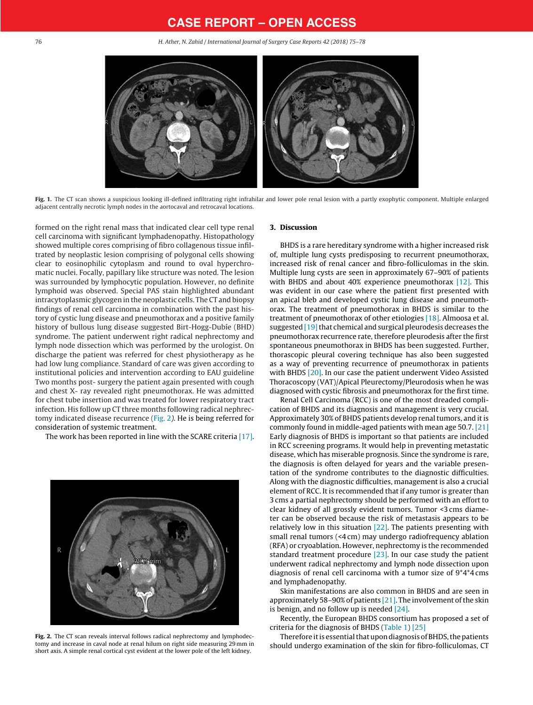<span id="page-2-0"></span>76 H. Ather, N. Zahid / International Journal of Surgery Case Reports 42 (2018) 75–78



**Fig. 1.** The CT scan shows a suspicious looking ill-defined infiltrating right infrahilar and lower pole renal lesion with a partly exophytic component. Multiple enlarged adjacent centrally necrotic lymph nodes in the aortocaval and retrocaval locations.

formed on the right renal mass that indicated clear cell type renal cell carcinoma with significant lymphadenopathy. Histopathology showed multiple cores comprising of fibro collagenous tissue infiltrated by neoplastic lesion comprising of polygonal cells showing clear to eosinophilic cytoplasm and round to oval hyperchromatic nuclei. Focally, papillary like structure was noted. The lesion was surrounded by lymphocytic population. However, no definite lymphoid was observed. Special PAS stain highlighted abundant intracytoplasmic glycogen in the neoplastic cells. The CT and biopsy findings of renal cell carcinoma in combination with the past history of cystic lung disease and pneumothorax and a positive family history of bullous lung disease suggested Birt-Hogg-Dubie (BHD) syndrome. The patient underwent right radical nephrectomy and lymph node dissection which was performed by the urologist. On discharge the patient was referred for chest physiotherapy as he had low lung compliance. Standard of care was given according to institutional policies and intervention according to EAU guideline Two months post- surgery the patient again presented with cough and chest X- ray revealed right pneumothorax. He was admitted for chest tube insertion and was treated for lower respiratory tract infection. His follow up CT three months following radical nephrectomy indicated disease recurrence (Fig. 2). He is being referred for consideration of systemic treatment.

The work has been reported in line with the SCARE criteria [\[17\].](#page-4-0)



**Fig. 2.** The CT scan reveals interval follows radical nephrectomy and lymphodectomy and increase in caval node at renal hilum on right side measuring 29 mm in short axis. A simple renal cortical cyst evident at the lower pole of the left kidney.

#### **3. Discussion**

BHDS is a rare hereditary syndrome with a higher increased risk of, multiple lung cysts predisposing to recurrent pneumothorax, increased risk of renal cancer and fibro-folliculomas in the skin. Multiple lung cysts are seen in approximately 67–90% of patients with BHDS and about 40% experience pneumothorax  $[12]$ . This was evident in our case where the patient first presented with an apical bleb and developed cystic lung disease and pneumothorax. The treatment of pneumothorax in BHDS is similar to the treatment of pneumothorax of other etiologies [\[18\].](#page-4-0) Almoosa et al. suggested  $[19]$  that chemical and surgical pleurodesis decreases the pneumothorax recurrence rate, therefore pleurodesis after the first spontaneous pneumothorax in BHDS has been suggested. Further, thorascopic pleural covering technique has also been suggested as a way of preventing recurrence of pneumothorax in patients with BHDS [\[20\].](#page-4-0) In our case the patient underwent Video Assisted Thoracoscopy (VAT)/Apical Pleurectomy/Pleurodosis when he was diagnosed with cystic fibrosis and pneumothorax for the first time.

Renal Cell Carcinoma (RCC) is one of the most dreaded complication of BHDS and its diagnosis and management is very crucial. Approximately 30% of BHDS patients develop renal tumors, and it is commonly found in middle-aged patients with mean age 50.7. [\[21\]](#page-4-0) Early diagnosis of BHDS is important so that patients are included in RCC screening programs. It would help in preventing metastatic disease, which has miserable prognosis. Since the syndrome is rare, the diagnosis is often delayed for years and the variable presentation of the syndrome contributes to the diagnostic difficulties. Along with the diagnostic difficulties, management is also a crucial element of RCC. It is recommended that if any tumor is greater than 3 cms a partial nephrectomy should be performed with an effort to clear kidney of all grossly evident tumors. Tumor <3 cms diameter can be observed because the risk of metastasis appears to be relatively low in this situation  $[22]$ . The patients presenting with small renal tumors (<4 cm) may undergo radiofrequency ablation (RFA) or cryoablation. However, nephrectomy is the recommended standard treatment procedure  $[23]$ . In our case study the patient underwent radical nephrectomy and lymph node dissection upon diagnosis of renal cell carcinoma with a tumor size of 9\*4\*4 cms and lymphadenopathy.

Skin manifestations are also common in BHDS and are seen in approximately 58-90% of patients  $[21]$ . The involvement of the skin is benign, and no follow up is needed  $[24]$ .

Recently, the European BHDS consortium has proposed a set of criteria for the diagnosis of BHDS [\(Table](#page-3-0) 1) [\[25\]](#page-4-0)

Therefore it is essential that upon diagnosis of BHDS, the patients should undergo examination of the skin for fibro-folliculomas, CT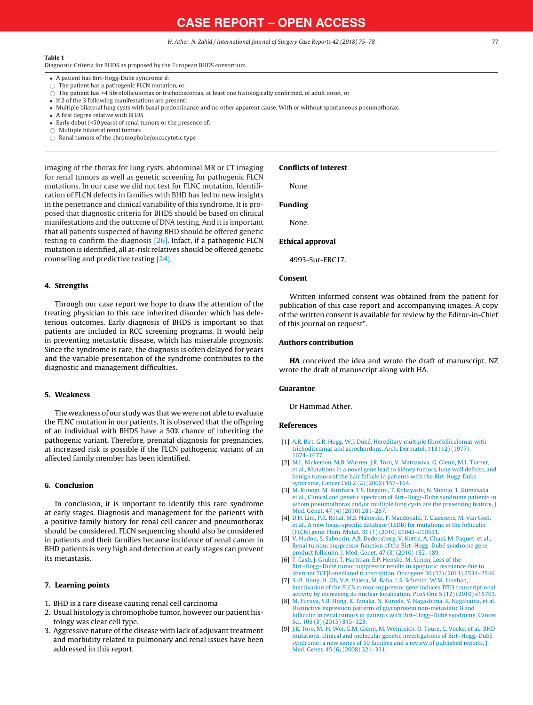H. Ather, N. Zahid / International Journal of Surgery Case Reports 42 (2018) 75–78 77

#### <span id="page-3-0"></span>**Table 1**

Diagnostic Criteria for BHDS as proposed by the European BHDS consortium.

- A patient has Birt-Hogg-Dube syndrome if:
- $\bigcirc$  The patient has a pathogenic FLCN mutation, or

 $\bigcirc$  The patient has >4 fibrofolliculomas or trichodiscomas, at least one histologically confirmed, of adult onset, or

- If 2 of the 3 following manifestations are present:
- Multiple bilateral lung cysts with basal predominance and no other apparent cause. With or without spontaneous pneumothorax.
- A first degree relative with BHDS
- Early debut (<50 years) of renal tumors or the presence of:
- $\bigcirc$  Multiple bilateral renal tumors
- $\bigcirc$  Renal tumors of the chromophobe/oncocytotic type

imaging of the thorax for lung cysts, abdominal MR or CT imaging for renal tumors as well as genetic screening for pathogenic FLCN mutations. In our case we did not test for FLNC mutation. Identification of FLCN defects in families with BHD has led to new insights in the penetrance and clinical variability of this syndrome. It is proposed that diagnostic criteria for BHDS should be based on clinical manifestations and the outcome of DNA testing. And it is important that all patients suspected of having BHD should be offered genetic testing to confirm the diagnosis [\[26\].](#page-4-0) Infact, if a pathogenic FLCN mutation is identified, all at-risk relatives should be offered genetic counseling and predictive testing [\[24\].](#page-4-0)

#### **4. Strengths**

Through our case report we hope to draw the attention of the treating physician to this rare inherited disorder which has deleterious outcomes. Early diagnosis of BHDS is important so that patients are included in RCC screening programs. It would help in preventing metastatic disease, which has miserable prognosis. Since the syndrome is rare, the diagnosis is often delayed for years and the variable presentation of the syndrome contributes to the diagnostic and management difficulties.

#### **5. Weakness**

The weakness of our study was that we were not able to evaluate the FLNC mutation in our patients. It is observed that the offspring of an individual with BHDS have a 50% chance of inheriting the pathogenic variant. Therefore, prenatal diagnosis for pregnancies, at increased risk is possible if the FLCN pathogenic variant of an affected family member has been identified.

#### **6. Conclusion**

In conclusion, it is important to identify this rare syndrome at early stages. Diagnosis and management for the patients with a positive family history for renal cell cancer and pneumothorax should be considered. FLCN sequencing should also be considered in patients and their families because incidence of renal cancer in BHD patients is very high and detection at early stages can prevent its metastasis.

#### **7. Learning points**

- 1. BHD is a rare disease causing renal cell carcinoma
- 2. Usual histology is chromophobe tumor, however our patient histology was clear cell type.
- 3. Aggressive nature of the disease with lack of adjuvant treatment and morbidity related to pulmonary and renal issues have been addressed in this report.

#### **Conflicts of interest**

None.

**Funding**

None.

#### **Ethical approval**

4993-Sur-ERC17.

#### **Consent**

Written informed consent was obtained from the patient for publication of this case report and accompanying images. A copy of the written consent is available for review by the Editor-in-Chief of this journal on request".

#### **Authors contribution**

**HA** conceived the idea and wrote the draft of manuscript. NZ wrote the draft of manuscript along with HA.

#### **Guarantor**

Dr Hammad Ather.

#### **References**

- [1] [A.R.](http://refhub.elsevier.com/S2210-2612(17)30610-7/sbref0005) [Birt,](http://refhub.elsevier.com/S2210-2612(17)30610-7/sbref0005) [G.R.](http://refhub.elsevier.com/S2210-2612(17)30610-7/sbref0005) [Hogg,](http://refhub.elsevier.com/S2210-2612(17)30610-7/sbref0005) [W.J.](http://refhub.elsevier.com/S2210-2612(17)30610-7/sbref0005) [Dubé,](http://refhub.elsevier.com/S2210-2612(17)30610-7/sbref0005) [Hereditary](http://refhub.elsevier.com/S2210-2612(17)30610-7/sbref0005) [multiple](http://refhub.elsevier.com/S2210-2612(17)30610-7/sbref0005) [fibrofolliculomas](http://refhub.elsevier.com/S2210-2612(17)30610-7/sbref0005) [with](http://refhub.elsevier.com/S2210-2612(17)30610-7/sbref0005) [trichodiscomas](http://refhub.elsevier.com/S2210-2612(17)30610-7/sbref0005) [and](http://refhub.elsevier.com/S2210-2612(17)30610-7/sbref0005) [acrochordons,](http://refhub.elsevier.com/S2210-2612(17)30610-7/sbref0005) [Arch.](http://refhub.elsevier.com/S2210-2612(17)30610-7/sbref0005) [Dermatol.](http://refhub.elsevier.com/S2210-2612(17)30610-7/sbref0005) [113](http://refhub.elsevier.com/S2210-2612(17)30610-7/sbref0005) [\(12\)](http://refhub.elsevier.com/S2210-2612(17)30610-7/sbref0005) [\(1977\)](http://refhub.elsevier.com/S2210-2612(17)30610-7/sbref0005) [1674–1677.](http://refhub.elsevier.com/S2210-2612(17)30610-7/sbref0005)
- [2] [M.L.](http://refhub.elsevier.com/S2210-2612(17)30610-7/sbref0010) [Nickerson,](http://refhub.elsevier.com/S2210-2612(17)30610-7/sbref0010) [M.B.](http://refhub.elsevier.com/S2210-2612(17)30610-7/sbref0010) [Warren,](http://refhub.elsevier.com/S2210-2612(17)30610-7/sbref0010) [J.R.](http://refhub.elsevier.com/S2210-2612(17)30610-7/sbref0010) [Toro,](http://refhub.elsevier.com/S2210-2612(17)30610-7/sbref0010) [V.](http://refhub.elsevier.com/S2210-2612(17)30610-7/sbref0010) [Matrosova,](http://refhub.elsevier.com/S2210-2612(17)30610-7/sbref0010) [G.](http://refhub.elsevier.com/S2210-2612(17)30610-7/sbref0010) [Glenn,](http://refhub.elsevier.com/S2210-2612(17)30610-7/sbref0010) [M.L.](http://refhub.elsevier.com/S2210-2612(17)30610-7/sbref0010) [Turner,](http://refhub.elsevier.com/S2210-2612(17)30610-7/sbref0010) [et](http://refhub.elsevier.com/S2210-2612(17)30610-7/sbref0010) [al.,](http://refhub.elsevier.com/S2210-2612(17)30610-7/sbref0010) [Mutations](http://refhub.elsevier.com/S2210-2612(17)30610-7/sbref0010) [in](http://refhub.elsevier.com/S2210-2612(17)30610-7/sbref0010) [a](http://refhub.elsevier.com/S2210-2612(17)30610-7/sbref0010) [novel](http://refhub.elsevier.com/S2210-2612(17)30610-7/sbref0010) [gene](http://refhub.elsevier.com/S2210-2612(17)30610-7/sbref0010) [lead](http://refhub.elsevier.com/S2210-2612(17)30610-7/sbref0010) [to](http://refhub.elsevier.com/S2210-2612(17)30610-7/sbref0010) [kidney](http://refhub.elsevier.com/S2210-2612(17)30610-7/sbref0010) [tumors,](http://refhub.elsevier.com/S2210-2612(17)30610-7/sbref0010) [lung](http://refhub.elsevier.com/S2210-2612(17)30610-7/sbref0010) [wall](http://refhub.elsevier.com/S2210-2612(17)30610-7/sbref0010) [defects,](http://refhub.elsevier.com/S2210-2612(17)30610-7/sbref0010) [and](http://refhub.elsevier.com/S2210-2612(17)30610-7/sbref0010) [benign](http://refhub.elsevier.com/S2210-2612(17)30610-7/sbref0010) [tumors](http://refhub.elsevier.com/S2210-2612(17)30610-7/sbref0010) [of](http://refhub.elsevier.com/S2210-2612(17)30610-7/sbref0010) [the](http://refhub.elsevier.com/S2210-2612(17)30610-7/sbref0010) [hair](http://refhub.elsevier.com/S2210-2612(17)30610-7/sbref0010) [follicle](http://refhub.elsevier.com/S2210-2612(17)30610-7/sbref0010) [in](http://refhub.elsevier.com/S2210-2612(17)30610-7/sbref0010) [patients](http://refhub.elsevier.com/S2210-2612(17)30610-7/sbref0010) [with](http://refhub.elsevier.com/S2210-2612(17)30610-7/sbref0010) [the](http://refhub.elsevier.com/S2210-2612(17)30610-7/sbref0010) [Birt-Hogg-Dube](http://refhub.elsevier.com/S2210-2612(17)30610-7/sbref0010) [syndrome,](http://refhub.elsevier.com/S2210-2612(17)30610-7/sbref0010) [Cancer](http://refhub.elsevier.com/S2210-2612(17)30610-7/sbref0010) [Cell](http://refhub.elsevier.com/S2210-2612(17)30610-7/sbref0010) [2](http://refhub.elsevier.com/S2210-2612(17)30610-7/sbref0010) [\(2\)](http://refhub.elsevier.com/S2210-2612(17)30610-7/sbref0010) [\(2002\)](http://refhub.elsevier.com/S2210-2612(17)30610-7/sbref0010) [157–164.](http://refhub.elsevier.com/S2210-2612(17)30610-7/sbref0010)
- [3] [M.](http://refhub.elsevier.com/S2210-2612(17)30610-7/sbref0015) [Kunogi,](http://refhub.elsevier.com/S2210-2612(17)30610-7/sbref0015) [M.](http://refhub.elsevier.com/S2210-2612(17)30610-7/sbref0015) [Kurihara,](http://refhub.elsevier.com/S2210-2612(17)30610-7/sbref0015) [T.S.](http://refhub.elsevier.com/S2210-2612(17)30610-7/sbref0015) [Ikegami,](http://refhub.elsevier.com/S2210-2612(17)30610-7/sbref0015) [T.](http://refhub.elsevier.com/S2210-2612(17)30610-7/sbref0015) [Kobayashi,](http://refhub.elsevier.com/S2210-2612(17)30610-7/sbref0015) [N.](http://refhub.elsevier.com/S2210-2612(17)30610-7/sbref0015) [Shindo,](http://refhub.elsevier.com/S2210-2612(17)30610-7/sbref0015) [T.](http://refhub.elsevier.com/S2210-2612(17)30610-7/sbref0015) [Kumasaka,](http://refhub.elsevier.com/S2210-2612(17)30610-7/sbref0015) [et](http://refhub.elsevier.com/S2210-2612(17)30610-7/sbref0015) [al.,](http://refhub.elsevier.com/S2210-2612(17)30610-7/sbref0015) [Clinical](http://refhub.elsevier.com/S2210-2612(17)30610-7/sbref0015) [and](http://refhub.elsevier.com/S2210-2612(17)30610-7/sbref0015) [genetic](http://refhub.elsevier.com/S2210-2612(17)30610-7/sbref0015) [spectrum](http://refhub.elsevier.com/S2210-2612(17)30610-7/sbref0015) [of](http://refhub.elsevier.com/S2210-2612(17)30610-7/sbref0015) [Birt–Hogg](http://refhub.elsevier.com/S2210-2612(17)30610-7/sbref0015)–[Dube](http://refhub.elsevier.com/S2210-2612(17)30610-7/sbref0015) [syndrome](http://refhub.elsevier.com/S2210-2612(17)30610-7/sbref0015) [patients](http://refhub.elsevier.com/S2210-2612(17)30610-7/sbref0015) [in](http://refhub.elsevier.com/S2210-2612(17)30610-7/sbref0015) [whom](http://refhub.elsevier.com/S2210-2612(17)30610-7/sbref0015) [pneumothorax](http://refhub.elsevier.com/S2210-2612(17)30610-7/sbref0015) [and/or](http://refhub.elsevier.com/S2210-2612(17)30610-7/sbref0015) [multiple](http://refhub.elsevier.com/S2210-2612(17)30610-7/sbref0015) [lung](http://refhub.elsevier.com/S2210-2612(17)30610-7/sbref0015) [cysts](http://refhub.elsevier.com/S2210-2612(17)30610-7/sbref0015) [are](http://refhub.elsevier.com/S2210-2612(17)30610-7/sbref0015) [the](http://refhub.elsevier.com/S2210-2612(17)30610-7/sbref0015) [presenting](http://refhub.elsevier.com/S2210-2612(17)30610-7/sbref0015) [feature,](http://refhub.elsevier.com/S2210-2612(17)30610-7/sbref0015) [J.](http://refhub.elsevier.com/S2210-2612(17)30610-7/sbref0015) [Med.](http://refhub.elsevier.com/S2210-2612(17)30610-7/sbref0015) [Genet.](http://refhub.elsevier.com/S2210-2612(17)30610-7/sbref0015) [47](http://refhub.elsevier.com/S2210-2612(17)30610-7/sbref0015) [\(4\)](http://refhub.elsevier.com/S2210-2612(17)30610-7/sbref0015) [\(2010\)](http://refhub.elsevier.com/S2210-2612(17)30610-7/sbref0015) [281](http://refhub.elsevier.com/S2210-2612(17)30610-7/sbref0015)–[287.](http://refhub.elsevier.com/S2210-2612(17)30610-7/sbref0015)
- [4] [D.H.](http://refhub.elsevier.com/S2210-2612(17)30610-7/sbref0020) [Lim,](http://refhub.elsevier.com/S2210-2612(17)30610-7/sbref0020) [P.K.](http://refhub.elsevier.com/S2210-2612(17)30610-7/sbref0020) [Rehal,](http://refhub.elsevier.com/S2210-2612(17)30610-7/sbref0020) [M.S.](http://refhub.elsevier.com/S2210-2612(17)30610-7/sbref0020) [Nahorski,](http://refhub.elsevier.com/S2210-2612(17)30610-7/sbref0020) [F.](http://refhub.elsevier.com/S2210-2612(17)30610-7/sbref0020) [Macdonald,](http://refhub.elsevier.com/S2210-2612(17)30610-7/sbref0020) [T.](http://refhub.elsevier.com/S2210-2612(17)30610-7/sbref0020) [Claessens,](http://refhub.elsevier.com/S2210-2612(17)30610-7/sbref0020) [M.](http://refhub.elsevier.com/S2210-2612(17)30610-7/sbref0020) [Van](http://refhub.elsevier.com/S2210-2612(17)30610-7/sbref0020) [Geel,](http://refhub.elsevier.com/S2210-2612(17)30610-7/sbref0020) [et](http://refhub.elsevier.com/S2210-2612(17)30610-7/sbref0020) [al.,](http://refhub.elsevier.com/S2210-2612(17)30610-7/sbref0020) [A](http://refhub.elsevier.com/S2210-2612(17)30610-7/sbref0020) [new](http://refhub.elsevier.com/S2210-2612(17)30610-7/sbref0020) [locus-specific](http://refhub.elsevier.com/S2210-2612(17)30610-7/sbref0020) [database](http://refhub.elsevier.com/S2210-2612(17)30610-7/sbref0020) [\(LSDB\)](http://refhub.elsevier.com/S2210-2612(17)30610-7/sbref0020) [for](http://refhub.elsevier.com/S2210-2612(17)30610-7/sbref0020) [mutations](http://refhub.elsevier.com/S2210-2612(17)30610-7/sbref0020) [in](http://refhub.elsevier.com/S2210-2612(17)30610-7/sbref0020) [the](http://refhub.elsevier.com/S2210-2612(17)30610-7/sbref0020) [folliculin](http://refhub.elsevier.com/S2210-2612(17)30610-7/sbref0020) [\(FLCN\)](http://refhub.elsevier.com/S2210-2612(17)30610-7/sbref0020) [gene,](http://refhub.elsevier.com/S2210-2612(17)30610-7/sbref0020) [Hum.](http://refhub.elsevier.com/S2210-2612(17)30610-7/sbref0020) [Mutat.](http://refhub.elsevier.com/S2210-2612(17)30610-7/sbref0020) [31](http://refhub.elsevier.com/S2210-2612(17)30610-7/sbref0020) [\(1\)](http://refhub.elsevier.com/S2210-2612(17)30610-7/sbref0020) [\(2010\)](http://refhub.elsevier.com/S2210-2612(17)30610-7/sbref0020) [E1043](http://refhub.elsevier.com/S2210-2612(17)30610-7/sbref0020)–[E10551.](http://refhub.elsevier.com/S2210-2612(17)30610-7/sbref0020)
- [5] [V.](http://refhub.elsevier.com/S2210-2612(17)30610-7/sbref0025) [Hudon,](http://refhub.elsevier.com/S2210-2612(17)30610-7/sbref0025) [S.](http://refhub.elsevier.com/S2210-2612(17)30610-7/sbref0025) [Sabourin,](http://refhub.elsevier.com/S2210-2612(17)30610-7/sbref0025) [A.B.](http://refhub.elsevier.com/S2210-2612(17)30610-7/sbref0025) [Dydensborg,](http://refhub.elsevier.com/S2210-2612(17)30610-7/sbref0025) [V.](http://refhub.elsevier.com/S2210-2612(17)30610-7/sbref0025) [Kottis,](http://refhub.elsevier.com/S2210-2612(17)30610-7/sbref0025) [A.](http://refhub.elsevier.com/S2210-2612(17)30610-7/sbref0025) [Ghazi,](http://refhub.elsevier.com/S2210-2612(17)30610-7/sbref0025) [M.](http://refhub.elsevier.com/S2210-2612(17)30610-7/sbref0025) [Paquet,](http://refhub.elsevier.com/S2210-2612(17)30610-7/sbref0025) [et](http://refhub.elsevier.com/S2210-2612(17)30610-7/sbref0025) [al.,](http://refhub.elsevier.com/S2210-2612(17)30610-7/sbref0025) [Renal](http://refhub.elsevier.com/S2210-2612(17)30610-7/sbref0025) [tumour](http://refhub.elsevier.com/S2210-2612(17)30610-7/sbref0025) [suppressor](http://refhub.elsevier.com/S2210-2612(17)30610-7/sbref0025) [function](http://refhub.elsevier.com/S2210-2612(17)30610-7/sbref0025) [of](http://refhub.elsevier.com/S2210-2612(17)30610-7/sbref0025) [the](http://refhub.elsevier.com/S2210-2612(17)30610-7/sbref0025) [Birt](http://refhub.elsevier.com/S2210-2612(17)30610-7/sbref0025)–[Hogg–Dubé](http://refhub.elsevier.com/S2210-2612(17)30610-7/sbref0025) [syndrome](http://refhub.elsevier.com/S2210-2612(17)30610-7/sbref0025) [gene](http://refhub.elsevier.com/S2210-2612(17)30610-7/sbref0025) [product](http://refhub.elsevier.com/S2210-2612(17)30610-7/sbref0025) [folliculin,](http://refhub.elsevier.com/S2210-2612(17)30610-7/sbref0025) [J.](http://refhub.elsevier.com/S2210-2612(17)30610-7/sbref0025) [Med.](http://refhub.elsevier.com/S2210-2612(17)30610-7/sbref0025) [Genet.](http://refhub.elsevier.com/S2210-2612(17)30610-7/sbref0025) [47](http://refhub.elsevier.com/S2210-2612(17)30610-7/sbref0025) [\(3\)](http://refhub.elsevier.com/S2210-2612(17)30610-7/sbref0025) [\(2010\)](http://refhub.elsevier.com/S2210-2612(17)30610-7/sbref0025) [182](http://refhub.elsevier.com/S2210-2612(17)30610-7/sbref0025)–[189.](http://refhub.elsevier.com/S2210-2612(17)30610-7/sbref0025)
- [6] [T.](http://refhub.elsevier.com/S2210-2612(17)30610-7/sbref0030) [Cash,](http://refhub.elsevier.com/S2210-2612(17)30610-7/sbref0030) [J.](http://refhub.elsevier.com/S2210-2612(17)30610-7/sbref0030) [Gruber,](http://refhub.elsevier.com/S2210-2612(17)30610-7/sbref0030) [T.](http://refhub.elsevier.com/S2210-2612(17)30610-7/sbref0030) [Hartman,](http://refhub.elsevier.com/S2210-2612(17)30610-7/sbref0030) [E.P.](http://refhub.elsevier.com/S2210-2612(17)30610-7/sbref0030) [Henske,](http://refhub.elsevier.com/S2210-2612(17)30610-7/sbref0030) [M.](http://refhub.elsevier.com/S2210-2612(17)30610-7/sbref0030) [Simon,](http://refhub.elsevier.com/S2210-2612(17)30610-7/sbref0030) [Loss](http://refhub.elsevier.com/S2210-2612(17)30610-7/sbref0030) [of](http://refhub.elsevier.com/S2210-2612(17)30610-7/sbref0030) [the](http://refhub.elsevier.com/S2210-2612(17)30610-7/sbref0030) [Birt](http://refhub.elsevier.com/S2210-2612(17)30610-7/sbref0030)–[Hogg–Dubé](http://refhub.elsevier.com/S2210-2612(17)30610-7/sbref0030) [tumor](http://refhub.elsevier.com/S2210-2612(17)30610-7/sbref0030) [suppressor](http://refhub.elsevier.com/S2210-2612(17)30610-7/sbref0030) [results](http://refhub.elsevier.com/S2210-2612(17)30610-7/sbref0030) [in](http://refhub.elsevier.com/S2210-2612(17)30610-7/sbref0030) [apoptotic](http://refhub.elsevier.com/S2210-2612(17)30610-7/sbref0030) [resistance](http://refhub.elsevier.com/S2210-2612(17)30610-7/sbref0030) [due](http://refhub.elsevier.com/S2210-2612(17)30610-7/sbref0030) [to](http://refhub.elsevier.com/S2210-2612(17)30610-7/sbref0030) [aberrant](http://refhub.elsevier.com/S2210-2612(17)30610-7/sbref0030) [TGF](http://refhub.elsevier.com/S2210-2612(17)30610-7/sbref0030) $\beta$ [-mediated](http://refhub.elsevier.com/S2210-2612(17)30610-7/sbref0030) [transcription,](http://refhub.elsevier.com/S2210-2612(17)30610-7/sbref0030) [Oncogene](http://refhub.elsevier.com/S2210-2612(17)30610-7/sbref0030) [30](http://refhub.elsevier.com/S2210-2612(17)30610-7/sbref0030) [\(22\)](http://refhub.elsevier.com/S2210-2612(17)30610-7/sbref0030) [\(2011\)](http://refhub.elsevier.com/S2210-2612(17)30610-7/sbref0030) [2534](http://refhub.elsevier.com/S2210-2612(17)30610-7/sbref0030)–[2546.](http://refhub.elsevier.com/S2210-2612(17)30610-7/sbref0030)
- [7] [S.-B.](http://refhub.elsevier.com/S2210-2612(17)30610-7/sbref0035) [Hong,](http://refhub.elsevier.com/S2210-2612(17)30610-7/sbref0035) [H.](http://refhub.elsevier.com/S2210-2612(17)30610-7/sbref0035) [Oh,](http://refhub.elsevier.com/S2210-2612(17)30610-7/sbref0035) [V.A.](http://refhub.elsevier.com/S2210-2612(17)30610-7/sbref0035) [Valera,](http://refhub.elsevier.com/S2210-2612(17)30610-7/sbref0035) [M.](http://refhub.elsevier.com/S2210-2612(17)30610-7/sbref0035) [Baba,](http://refhub.elsevier.com/S2210-2612(17)30610-7/sbref0035) [L.S.](http://refhub.elsevier.com/S2210-2612(17)30610-7/sbref0035) [Schmidt,](http://refhub.elsevier.com/S2210-2612(17)30610-7/sbref0035) [W.M.](http://refhub.elsevier.com/S2210-2612(17)30610-7/sbref0035) [Linehan,](http://refhub.elsevier.com/S2210-2612(17)30610-7/sbref0035) [Inactivation](http://refhub.elsevier.com/S2210-2612(17)30610-7/sbref0035) [of](http://refhub.elsevier.com/S2210-2612(17)30610-7/sbref0035) [the](http://refhub.elsevier.com/S2210-2612(17)30610-7/sbref0035) [FLCN](http://refhub.elsevier.com/S2210-2612(17)30610-7/sbref0035) [tumor](http://refhub.elsevier.com/S2210-2612(17)30610-7/sbref0035) [suppressor](http://refhub.elsevier.com/S2210-2612(17)30610-7/sbref0035) [gene](http://refhub.elsevier.com/S2210-2612(17)30610-7/sbref0035) [induces](http://refhub.elsevier.com/S2210-2612(17)30610-7/sbref0035) [TFE3](http://refhub.elsevier.com/S2210-2612(17)30610-7/sbref0035) [transcriptional](http://refhub.elsevier.com/S2210-2612(17)30610-7/sbref0035) [activity](http://refhub.elsevier.com/S2210-2612(17)30610-7/sbref0035) [by](http://refhub.elsevier.com/S2210-2612(17)30610-7/sbref0035) [increasing](http://refhub.elsevier.com/S2210-2612(17)30610-7/sbref0035) [its](http://refhub.elsevier.com/S2210-2612(17)30610-7/sbref0035) [nuclear](http://refhub.elsevier.com/S2210-2612(17)30610-7/sbref0035) [localization,](http://refhub.elsevier.com/S2210-2612(17)30610-7/sbref0035) [PLoS](http://refhub.elsevier.com/S2210-2612(17)30610-7/sbref0035) [One](http://refhub.elsevier.com/S2210-2612(17)30610-7/sbref0035) [5](http://refhub.elsevier.com/S2210-2612(17)30610-7/sbref0035) [\(12\)](http://refhub.elsevier.com/S2210-2612(17)30610-7/sbref0035) [\(2010\)](http://refhub.elsevier.com/S2210-2612(17)30610-7/sbref0035) [e15793.](http://refhub.elsevier.com/S2210-2612(17)30610-7/sbref0035)
- [8] [M.](http://refhub.elsevier.com/S2210-2612(17)30610-7/sbref0040) [Furuya,](http://refhub.elsevier.com/S2210-2612(17)30610-7/sbref0040) [S.B.](http://refhub.elsevier.com/S2210-2612(17)30610-7/sbref0040) [Hong,](http://refhub.elsevier.com/S2210-2612(17)30610-7/sbref0040) [R.](http://refhub.elsevier.com/S2210-2612(17)30610-7/sbref0040) [Tanaka,](http://refhub.elsevier.com/S2210-2612(17)30610-7/sbref0040) [N.](http://refhub.elsevier.com/S2210-2612(17)30610-7/sbref0040) [Kuroda,](http://refhub.elsevier.com/S2210-2612(17)30610-7/sbref0040) [Y.](http://refhub.elsevier.com/S2210-2612(17)30610-7/sbref0040) [Nagashima,](http://refhub.elsevier.com/S2210-2612(17)30610-7/sbref0040) [K.](http://refhub.elsevier.com/S2210-2612(17)30610-7/sbref0040) [Nagahama,](http://refhub.elsevier.com/S2210-2612(17)30610-7/sbref0040) [et](http://refhub.elsevier.com/S2210-2612(17)30610-7/sbref0040) [al.,](http://refhub.elsevier.com/S2210-2612(17)30610-7/sbref0040) [Distinctive](http://refhub.elsevier.com/S2210-2612(17)30610-7/sbref0040) [expression](http://refhub.elsevier.com/S2210-2612(17)30610-7/sbref0040) [patterns](http://refhub.elsevier.com/S2210-2612(17)30610-7/sbref0040) [of](http://refhub.elsevier.com/S2210-2612(17)30610-7/sbref0040) [glycoprotein](http://refhub.elsevier.com/S2210-2612(17)30610-7/sbref0040) [non-metastatic](http://refhub.elsevier.com/S2210-2612(17)30610-7/sbref0040) [B](http://refhub.elsevier.com/S2210-2612(17)30610-7/sbref0040) [and](http://refhub.elsevier.com/S2210-2612(17)30610-7/sbref0040) [folliculin](http://refhub.elsevier.com/S2210-2612(17)30610-7/sbref0040) [in](http://refhub.elsevier.com/S2210-2612(17)30610-7/sbref0040) [renal](http://refhub.elsevier.com/S2210-2612(17)30610-7/sbref0040) [tumors](http://refhub.elsevier.com/S2210-2612(17)30610-7/sbref0040) [in](http://refhub.elsevier.com/S2210-2612(17)30610-7/sbref0040) [patients](http://refhub.elsevier.com/S2210-2612(17)30610-7/sbref0040) [with](http://refhub.elsevier.com/S2210-2612(17)30610-7/sbref0040) [Birt–Hogg](http://refhub.elsevier.com/S2210-2612(17)30610-7/sbref0040)–[Dubé](http://refhub.elsevier.com/S2210-2612(17)30610-7/sbref0040) [syndrome,](http://refhub.elsevier.com/S2210-2612(17)30610-7/sbref0040) [Cancer](http://refhub.elsevier.com/S2210-2612(17)30610-7/sbref0040) [Sci.](http://refhub.elsevier.com/S2210-2612(17)30610-7/sbref0040) [106](http://refhub.elsevier.com/S2210-2612(17)30610-7/sbref0040) [\(3\)](http://refhub.elsevier.com/S2210-2612(17)30610-7/sbref0040) [\(2015\)](http://refhub.elsevier.com/S2210-2612(17)30610-7/sbref0040) [315–323.](http://refhub.elsevier.com/S2210-2612(17)30610-7/sbref0040)
- [9] [J.R.](http://refhub.elsevier.com/S2210-2612(17)30610-7/sbref0045) [Toro,](http://refhub.elsevier.com/S2210-2612(17)30610-7/sbref0045) [M.-H.](http://refhub.elsevier.com/S2210-2612(17)30610-7/sbref0045) [Wei,](http://refhub.elsevier.com/S2210-2612(17)30610-7/sbref0045) [G.M.](http://refhub.elsevier.com/S2210-2612(17)30610-7/sbref0045) [Glenn,](http://refhub.elsevier.com/S2210-2612(17)30610-7/sbref0045) [M.](http://refhub.elsevier.com/S2210-2612(17)30610-7/sbref0045) [Weinreich,](http://refhub.elsevier.com/S2210-2612(17)30610-7/sbref0045) [O.](http://refhub.elsevier.com/S2210-2612(17)30610-7/sbref0045) [Toure,](http://refhub.elsevier.com/S2210-2612(17)30610-7/sbref0045) [C.](http://refhub.elsevier.com/S2210-2612(17)30610-7/sbref0045) [Vocke,](http://refhub.elsevier.com/S2210-2612(17)30610-7/sbref0045) [et](http://refhub.elsevier.com/S2210-2612(17)30610-7/sbref0045) [al.,](http://refhub.elsevier.com/S2210-2612(17)30610-7/sbref0045) [BHD](http://refhub.elsevier.com/S2210-2612(17)30610-7/sbref0045) [mutations,](http://refhub.elsevier.com/S2210-2612(17)30610-7/sbref0045) [clinical](http://refhub.elsevier.com/S2210-2612(17)30610-7/sbref0045) [and](http://refhub.elsevier.com/S2210-2612(17)30610-7/sbref0045) [molecular](http://refhub.elsevier.com/S2210-2612(17)30610-7/sbref0045) [genetic](http://refhub.elsevier.com/S2210-2612(17)30610-7/sbref0045) [investigations](http://refhub.elsevier.com/S2210-2612(17)30610-7/sbref0045) [of](http://refhub.elsevier.com/S2210-2612(17)30610-7/sbref0045) [Birt–Hogg–Dubé](http://refhub.elsevier.com/S2210-2612(17)30610-7/sbref0045) [syndrome:](http://refhub.elsevier.com/S2210-2612(17)30610-7/sbref0045) [a](http://refhub.elsevier.com/S2210-2612(17)30610-7/sbref0045) [new](http://refhub.elsevier.com/S2210-2612(17)30610-7/sbref0045) [series](http://refhub.elsevier.com/S2210-2612(17)30610-7/sbref0045) [of](http://refhub.elsevier.com/S2210-2612(17)30610-7/sbref0045) [50](http://refhub.elsevier.com/S2210-2612(17)30610-7/sbref0045) [families](http://refhub.elsevier.com/S2210-2612(17)30610-7/sbref0045) [and](http://refhub.elsevier.com/S2210-2612(17)30610-7/sbref0045) [a](http://refhub.elsevier.com/S2210-2612(17)30610-7/sbref0045) [review](http://refhub.elsevier.com/S2210-2612(17)30610-7/sbref0045) [of](http://refhub.elsevier.com/S2210-2612(17)30610-7/sbref0045) [published](http://refhub.elsevier.com/S2210-2612(17)30610-7/sbref0045) [reports,](http://refhub.elsevier.com/S2210-2612(17)30610-7/sbref0045) [J.](http://refhub.elsevier.com/S2210-2612(17)30610-7/sbref0045) [Med.](http://refhub.elsevier.com/S2210-2612(17)30610-7/sbref0045) [Genet.](http://refhub.elsevier.com/S2210-2612(17)30610-7/sbref0045) [45](http://refhub.elsevier.com/S2210-2612(17)30610-7/sbref0045) [\(6\)](http://refhub.elsevier.com/S2210-2612(17)30610-7/sbref0045) [\(2008\)](http://refhub.elsevier.com/S2210-2612(17)30610-7/sbref0045) [321–331.](http://refhub.elsevier.com/S2210-2612(17)30610-7/sbref0045)